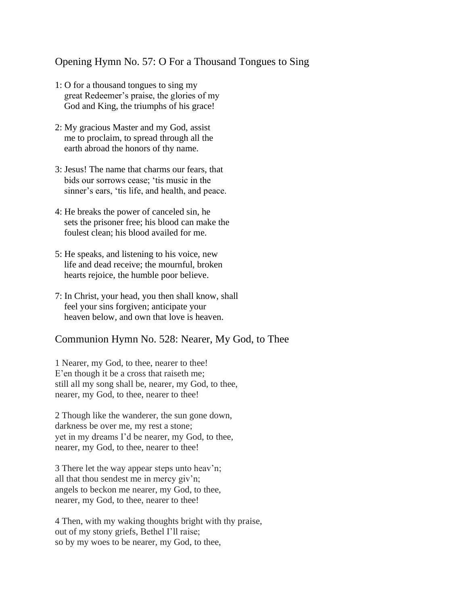## Opening Hymn No. 57: O For a Thousand Tongues to Sing

- 1: O for a thousand tongues to sing my great Redeemer's praise, the glories of my God and King, the triumphs of his grace!
- 2: My gracious Master and my God, assist me to proclaim, to spread through all the earth abroad the honors of thy name.
- 3: Jesus! The name that charms our fears, that bids our sorrows cease; 'tis music in the sinner's ears, 'tis life, and health, and peace.
- 4: He breaks the power of canceled sin, he sets the prisoner free; his blood can make the foulest clean; his blood availed for me.
- 5: He speaks, and listening to his voice, new life and dead receive; the mournful, broken hearts rejoice, the humble poor believe.
- 7: In Christ, your head, you then shall know, shall feel your sins forgiven; anticipate your heaven below, and own that love is heaven.

## Communion Hymn No. 528: Nearer, My God, to Thee

1 Nearer, my God, to thee, nearer to thee! E'en though it be a cross that raiseth me; still all my song shall be, nearer, my God, to thee, nearer, my God, to thee, nearer to thee!

2 Though like the wanderer, the sun gone down, darkness be over me, my rest a stone; yet in my dreams I'd be nearer, my God, to thee, nearer, my God, to thee, nearer to thee!

3 There let the way appear steps unto heav'n; all that thou sendest me in mercy giv'n; angels to beckon me nearer, my God, to thee, nearer, my God, to thee, nearer to thee!

4 Then, with my waking thoughts bright with thy praise, out of my stony griefs, Bethel I'll raise; so by my woes to be nearer, my God, to thee,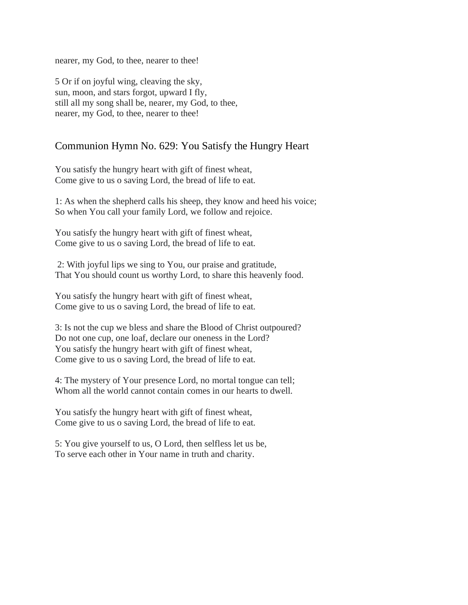nearer, my God, to thee, nearer to thee!

5 Or if on joyful wing, cleaving the sky, sun, moon, and stars forgot, upward I fly, still all my song shall be, nearer, my God, to thee, nearer, my God, to thee, nearer to thee!

## Communion Hymn No. 629: You Satisfy the Hungry Heart

You satisfy the hungry heart with gift of finest wheat, Come give to us o saving Lord, the bread of life to eat.

1: As when the shepherd calls his sheep, they know and heed his voice; So when You call your family Lord, we follow and rejoice.

You satisfy the hungry heart with gift of finest wheat, Come give to us o saving Lord, the bread of life to eat.

2: With joyful lips we sing to You, our praise and gratitude, That You should count us worthy Lord, to share this heavenly food.

You satisfy the hungry heart with gift of finest wheat, Come give to us o saving Lord, the bread of life to eat.

3: Is not the cup we bless and share the Blood of Christ outpoured? Do not one cup, one loaf, declare our oneness in the Lord? You satisfy the hungry heart with gift of finest wheat, Come give to us o saving Lord, the bread of life to eat.

4: The mystery of Your presence Lord, no mortal tongue can tell; Whom all the world cannot contain comes in our hearts to dwell.

You satisfy the hungry heart with gift of finest wheat, Come give to us o saving Lord, the bread of life to eat.

5: You give yourself to us, O Lord, then selfless let us be, To serve each other in Your name in truth and charity.